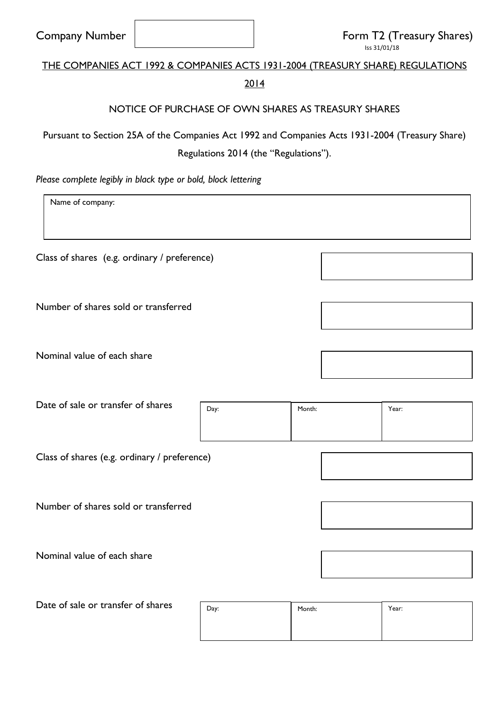| <b>Company Number</b>                                                                           |                                                     |                  |  |                    |  | Form T2 (Treasury Shares)<br>Iss 31/01/18 |
|-------------------------------------------------------------------------------------------------|-----------------------------------------------------|------------------|--|--------------------|--|-------------------------------------------|
| THE COMPANIES ACT 1992 & COMPANIES ACTS 1931-2004 (TREASURY SHARE) REGULATIONS                  |                                                     |                  |  |                    |  |                                           |
|                                                                                                 |                                                     | 2014             |  |                    |  |                                           |
|                                                                                                 | NOTICE OF PURCHASE OF OWN SHARES AS TREASURY SHARES |                  |  |                    |  |                                           |
| Pursuant to Section 25A of the Companies Act 1992 and Companies Acts 1931-2004 (Treasury Share) |                                                     |                  |  |                    |  |                                           |
| Regulations 2014 (the "Regulations").                                                           |                                                     |                  |  |                    |  |                                           |
| Please complete legibly in black type or bold, block lettering                                  |                                                     |                  |  |                    |  |                                           |
| Name of company:                                                                                |                                                     |                  |  |                    |  |                                           |
|                                                                                                 |                                                     |                  |  |                    |  |                                           |
| Class of shares (e.g. ordinary / preference)                                                    |                                                     |                  |  |                    |  |                                           |
|                                                                                                 |                                                     |                  |  |                    |  |                                           |
| Number of shares sold or transferred                                                            |                                                     |                  |  |                    |  |                                           |
|                                                                                                 |                                                     |                  |  |                    |  |                                           |
| Nominal value of each share                                                                     |                                                     |                  |  |                    |  |                                           |
|                                                                                                 |                                                     |                  |  |                    |  |                                           |
| Date of sale or transfer of shares                                                              |                                                     |                  |  |                    |  |                                           |
|                                                                                                 |                                                     | Day:             |  | Month:             |  | Year:                                     |
|                                                                                                 |                                                     |                  |  |                    |  |                                           |
| Class of shares (e.g. ordinary / preference)                                                    |                                                     |                  |  |                    |  |                                           |
|                                                                                                 |                                                     |                  |  |                    |  |                                           |
| Number of shares sold or transferred                                                            |                                                     |                  |  |                    |  |                                           |
|                                                                                                 |                                                     |                  |  |                    |  |                                           |
| Nominal value of each share                                                                     |                                                     |                  |  |                    |  |                                           |
|                                                                                                 |                                                     |                  |  |                    |  |                                           |
| Date of sale or transfer of shares                                                              |                                                     | Dav <sup>-</sup> |  | Month <sup>.</sup> |  | Year <sup>.</sup>                         |

| Day: | Month: | Year: |
|------|--------|-------|
|      |        |       |
|      |        |       |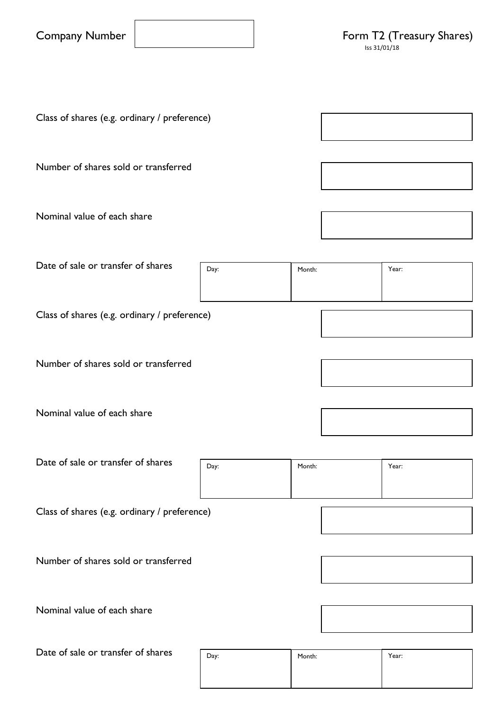| <b>Company Number</b> |  |
|-----------------------|--|
|-----------------------|--|

Class of shares (e.g. ordinary / preference) Number of shares sold or transferred Nominal value of each share Date of sale or transfer of shares Class of shares (e.g. ordinary / preference) Number of shares sold or transferred Nominal value of each share Date of sale or transfer of shares Class of shares (e.g. ordinary / preference) Number of shares sold or transferred Nominal value of each share Date of sale or transfer of shares Day: Month: Pay: Pay: Day: **Nonth:** Month: **Year:** Year: Day: Month: Pay: Pay: